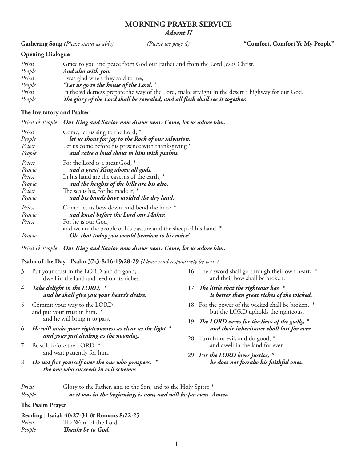### **MORNING PRAYER SERVICE** *Advent II*

**Gathering Song** *(Please stand as able) (Please see page 4)* **"Comfort, Comfort Ye My People"**

# **Opening Dialogue**

| Priest | Grace to you and peace from God our Father and from the Lord Jesus Christ.                        |
|--------|---------------------------------------------------------------------------------------------------|
| People | And also with you.                                                                                |
| Priest | I was glad when they said to me,                                                                  |
| People | "Let us go to the house of the Lord."                                                             |
| Priest | In the wilderness prepare the way of the Lord, make straight in the desert a highway for our God. |
| People | The glory of the Lord shall be revealed, and all flesh shall see it together.                     |

# **The Invitatory and Psalter**

*Priest & People Our King and Savior now draws near: Come, let us adore him.*

| Priest<br>People<br>Priest<br>People | Come, let us sing to the Lord; *<br>let us shout for joy to the Rock of our salvation.<br>Let us come before his presence with thanksgiving *<br>and raise a loud shout to him with psalms. |
|--------------------------------------|---------------------------------------------------------------------------------------------------------------------------------------------------------------------------------------------|
| Priest                               | For the Lord is a great God, *                                                                                                                                                              |
| People                               | and a great King above all gods.                                                                                                                                                            |
| Priest                               | In his hand are the caverns of the earth, *                                                                                                                                                 |
| People                               | and the heights of the hills are his also.                                                                                                                                                  |
| Priest                               | The sea is his, for he made it, *                                                                                                                                                           |
| People                               | and his hands have molded the dry land.                                                                                                                                                     |
| Priest                               | Come, let us bow down, and bend the knee, *                                                                                                                                                 |
| People                               | and kneel before the Lord our Maker.                                                                                                                                                        |
| Priest                               | For he is our God,<br>and we are the people of his pasture and the sheep of his hand. *                                                                                                     |
| People                               | Oh, that today you would hearken to his voice!                                                                                                                                              |

*Priest & People Our King and Savior now draws near: Come, let us adore him.*

# **Psalm of the Day | Psalm 37:3-8;16-19;28-29** *(Please read responsively by verse)*

| $\overline{4}$ | Take delight in the LORD, $*$                                                            | 17 The little that the righteous has $*$                                             |  |
|----------------|------------------------------------------------------------------------------------------|--------------------------------------------------------------------------------------|--|
|                | 3 Put your trust in the LORD and do good; *<br>dwell in the land and feed on its riches. | 16 Their sword shall go through their own heart, *<br>and their bow shall be broken. |  |

- *and he shall give you your heart's desire.* 5 Commit your way to the LORD
- and put your trust in him, \* and he will bring it to pass.
- 6 *He will make your righteousness as clear as the light \* and your just dealing as the noonday.*
- 7 Be still before the LORD \* and wait patiently for him.
- 8 *Do not fret yourself over the one who prospers, \* the one who succeeds in evil schemes*
- *is better than great riches of the wicked.*
- 18 For the power of the wicked shall be broken, \* but the LORD upholds the righteous.
- 19 *The LORD cares for the lives of the godly, \* and their inheritance shall last for ever.*
- 28 Turn from evil, and do good, \* and dwell in the land for ever.
- 29 *For the LORD loves justice; \* he does not forsake his faithful ones.*

| Priest | Glory to the Father, and to the Son, and to the Holy Spirit: *  |
|--------|-----------------------------------------------------------------|
| People | as it was in the beginning, is now, and will be for ever. Amen. |

# **The Psalm Prayer**

# **Reading | Isaiah 40:27-31 & Romans 8:22-25**

| .<br>Priest | The Word of the Lord. |
|-------------|-----------------------|
| People      | Thanks be to God.     |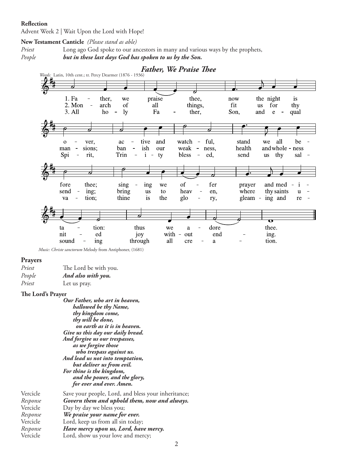#### **Reflection**

Advent Week 2 | Wait Upon the Lord with Hope!

#### **New Testament Canticle** *(Please stand as able)*

*Priest* Long ago God spoke to our ancestors in many and various ways by the prophets,

*People but in these last days God has spoken to us by the Son.*



 *Music: Christe sanctorum* Melody from Antiphoner, (1681)

#### **Prayers**

| Priest | The Lord be with you. |
|--------|-----------------------|
| People | And also with you.    |
| Priest | Let us pray.          |

#### **The Lord's Prayer**

*Our Father, who art in heaven, hallowed be thy Name, thy kingdom come, thy will be done, on earth as it is in heaven. Give us this day our daily bread. And forgive us our trespasses, as we forgive those who trespass against us. And lead us not into temptation, but deliver us from evil. For thine is the kingdom, and the power, and the glory, for ever and ever. Amen.* Vercicle Save your people, Lord, and bless your inheritance;

| Response | Govern them and uphold them, now and always. |
|----------|----------------------------------------------|
| Vercicle | Day by day we bless you;                     |
| Response | We praise your name for ever.                |
|          |                                              |

Vercicle Lord, keep us from all sin today; *Response**Have mercy upon us, Lord, have mercy.*

Vercicle Lord, show us your love and mercy;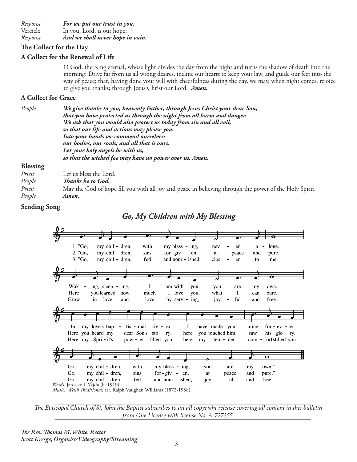*Response**For we put our trust in you.*  Vercicle In you, Lord, is our hope; *Response**And we shall never hope in vain.*

### **The Collect for the Day**

# **A Collect for the Renewal of Life**

O God, the King eternal, whose light divides the day from the night and turns the shadow of death into the morning: Drive far from us all wrong desires, incline our hearts to keep your law, and guide our feet into the way of peace; that, having done your will with cheerfulness during the day, we may, when night comes, rejoice to give you thanks; through Jesus Christ our Lord. *Amen.*

### **A Collect for Grace**

*People We give thanks to you, heavenly Father, through Jesus Christ your dear Son, that you have protected us through the night from all harm and danger. We ask that you would also protect us today from sin and all evil, so that our life and actions may please you. Into your hands we commend ourselves: our bodies, our souls, and all that is ours. Let your holy angels be with us, so that the wicked foe may have no power over us. Amen.* 

### **Blessing**

| Priest | Let us bless the Lord.                                                                                 |
|--------|--------------------------------------------------------------------------------------------------------|
| People | Thanks be to God.                                                                                      |
| Priest | May the God of hope fill you with all joy and peace in believing through the power of the Holy Spirit. |
| People | Amen.                                                                                                  |
|        |                                                                                                        |

### **Sending Song**



*The Episcopal Church of St. John the Baptist subscribes to an all copyright release covering all content in this bulletin from One License with license No. A-727355.*

*The Rev. Thomas M. White, Rector Scott Kresge, Organist/Videography/Streaming*

*Go, My Children with My Blessing*